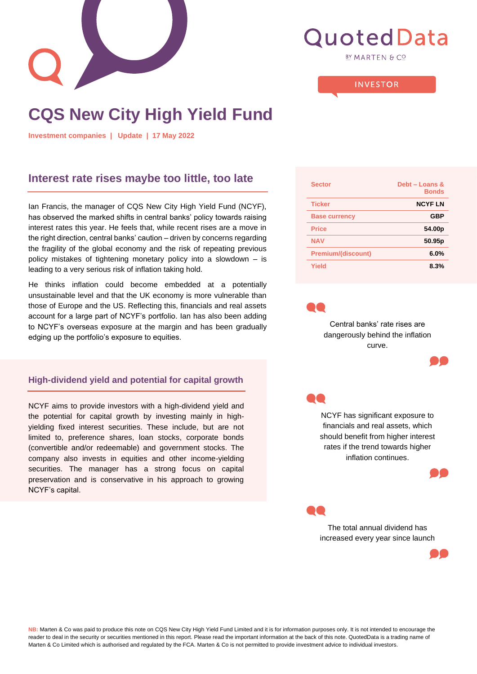

# **QuotedData**

**BY MARTEN & CO** 

#### **INVESTOR**

# **CQS New City High Yield Fund**

**Investment companies | Update | 17 May 2022**

## **Interest rate rises maybe too little, too late**

Ian Francis, the manager of CQS New City High Yield Fund (NCYF), has observed the marked shifts in central banks' policy towards raising interest rates this year. He feels that, while recent rises are a move in the right direction, central banks' caution – driven by concerns regarding the fragility of the global economy and the risk of repeating previous policy mistakes of tightening monetary policy into a slowdown – is leading to a very serious risk of inflation taking hold.

He thinks inflation could become embedded at a potentially unsustainable level and that the UK economy is more vulnerable than those of Europe and the US. Reflecting this, financials and real assets account for a large part of NCYF's portfolio. Ian has also been adding to NCYF's overseas exposure at the margin and has been gradually edging up the portfolio's exposure to equities.

#### **High-dividend yield and potential for capital growth**

NCYF aims to provide investors with a high-dividend yield and the potential for capital growth by investing mainly in highyielding fixed interest securities. These include, but are not limited to, preference shares, loan stocks, corporate bonds (convertible and/or redeemable) and government stocks. The company also invests in equities and other income-yielding securities. The manager has a strong focus on capital preservation and is conservative in his approach to growing NCYF's capital.

| <b>Sector</b>             | Debt - Loans &<br><b>Bonds</b> |
|---------------------------|--------------------------------|
| <b>Ticker</b>             | <b>NCYFLN</b>                  |
| <b>Base currency</b>      | <b>GBP</b>                     |
| Price                     | 54.00 <sub>p</sub>             |
| <b>NAV</b>                | 50.95p                         |
| <b>Premium/(discount)</b> | 6.0%                           |
| Yield                     | 8.3%                           |



Central banks' rate rises are dangerously behind the inflation curve.





NCYF has significant exposure to financials and real assets, which should benefit from higher interest rates if the trend towards higher inflation continues.





The total annual dividend has increased every year since launch



**NB:** Marten & Co was paid to produce this note on CQS New City High Yield Fund Limited and it is for information purposes only. It is not intended to encourage the reader to deal in the security or securities mentioned in this report. Please read the important information at the back of this note. QuotedData is a trading name of Marten & Co Limited which is authorised and regulated by the FCA. Marten & Co is not permitted to provide investment advice to individual investors.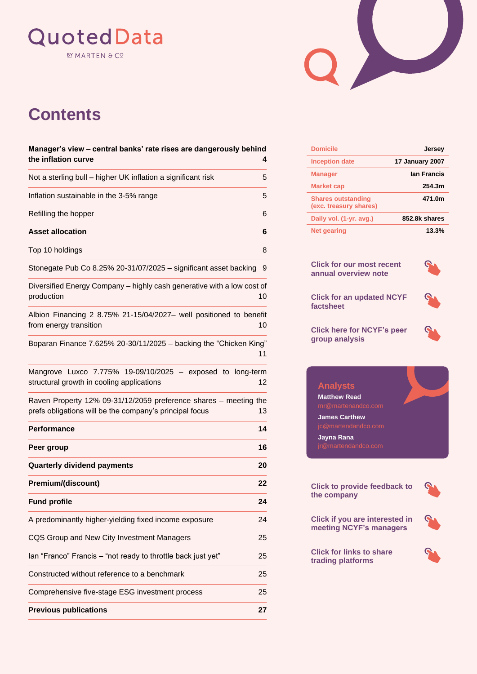# QuotedData **BY MARTEN & CO**



# **Contents**

| Manager's view - central banks' rate rises are dangerously behind<br>the inflation curve                                    | 4  |
|-----------------------------------------------------------------------------------------------------------------------------|----|
| Not a sterling bull - higher UK inflation a significant risk                                                                | 5  |
| Inflation sustainable in the 3-5% range                                                                                     | 5  |
| Refilling the hopper                                                                                                        | 6  |
| <b>Asset allocation</b>                                                                                                     | 6  |
| Top 10 holdings                                                                                                             | 8  |
| Stonegate Pub Co 8.25% 20-31/07/2025 - significant asset backing                                                            | 9  |
| Diversified Energy Company - highly cash generative with a low cost of<br>production                                        | 10 |
| Albion Financing 2 8.75% 21-15/04/2027- well positioned to benefit<br>from energy transition                                | 10 |
| Boparan Finance 7.625% 20-30/11/2025 - backing the "Chicken King"                                                           | 11 |
| Mangrove Luxco 7.775% 19-09/10/2025 - exposed to long-term<br>structural growth in cooling applications                     | 12 |
| Raven Property 12% 09-31/12/2059 preference shares - meeting the<br>prefs obligations will be the company's principal focus | 13 |
| <b>Performance</b>                                                                                                          | 14 |
| Peer group                                                                                                                  | 16 |
| <b>Quarterly dividend payments</b>                                                                                          | 20 |
| Premium/(discount)                                                                                                          | 22 |
| <b>Fund profile</b>                                                                                                         | 24 |
| A predominantly higher-yielding fixed income exposure                                                                       | 24 |
| CQS Group and New City Investment Managers                                                                                  | 25 |
| lan "Franco" Francis - "not ready to throttle back just yet"                                                                | 25 |
| Constructed without reference to a benchmark                                                                                | 25 |
| Comprehensive five-stage ESG investment process                                                                             | 25 |
| <b>Previous publications</b>                                                                                                | 27 |

| <b>Domicile</b>                                     | <b>Jersey</b>          |
|-----------------------------------------------------|------------------------|
| <b>Inception date</b>                               | <b>17 January 2007</b> |
| <b>Manager</b>                                      | lan Francis            |
| <b>Market cap</b>                                   | 254.3m                 |
| <b>Shares outstanding</b><br>(exc. treasury shares) | 471.0m                 |
| Daily vol. (1-yr. avg.)                             | 852.8k shares          |
| <b>Net gearing</b>                                  | 13.3%                  |

**[Click for our most recent](https://quoteddata.com/research/cqs-city-high-yield-fund-shortterm-opportunity-qd/)  [annual overview](https://quoteddata.com/research/cqs-city-high-yield-fund-shortterm-opportunity-qd/) note**



**[Click for an updated NCYF](https://quoteddata.com/company/cqs-new-city-high-yield-ncyf/) [factsheet](https://quoteddata.com/company/cqs-new-city-high-yield-ncyf/)**

**[Click here for](https://quoteddata.com/sector/investment-companies/debt/debt-loans-bonds/) NCYF's peer [group analysis](https://quoteddata.com/sector/investment-companies/debt/debt-loans-bonds/)**



## **Analysts**

**Matthew Read**

**James Carthew**

**Jayna Rana**

**[Click to provide feedback to](mailto:dm@martenandco.com.com?cc=mr@martenandco.com&subject=I%20wish%20to%20provide%20feedback%20to%20the%20managers%20of%20NCYF&body=Dear%20David,%0d%0dI%20would%20like%20to%20provide%20the%20following%20feedback%20to%20the%20managers%20of%20CQS%20New%20City%20High%20Yield:)  [the company](mailto:dm@martenandco.com.com?cc=mr@martenandco.com&subject=I%20wish%20to%20provide%20feedback%20to%20the%20managers%20of%20NCYF&body=Dear%20David,%0d%0dI%20would%20like%20to%20provide%20the%20following%20feedback%20to%20the%20managers%20of%20CQS%20New%20City%20High%20Yield:)**



**[Click if you are interested in](mailto:dm@martenandco.com.com?cc=mr@martenandco.com&subject=I%20wish%20to%20meet%20the%20managers%20of%20NCYF&body=Dear%20David,%0d%0dI%20would%20like%20to%20request%20a%20meeting%20with%20the%20managers%20of%20CQS%20New%20City%20High%20Yield.)  [meeting NCYF's managers](mailto:dm@martenandco.com.com?cc=mr@martenandco.com&subject=I%20wish%20to%20meet%20the%20managers%20of%20NCYF&body=Dear%20David,%0d%0dI%20would%20like%20to%20request%20a%20meeting%20with%20the%20managers%20of%20CQS%20New%20City%20High%20Yield.)**

**[Click for links](https://quoteddata.com/glossary-terms/compare-the-share-trading-websites/) to share trading platforms**

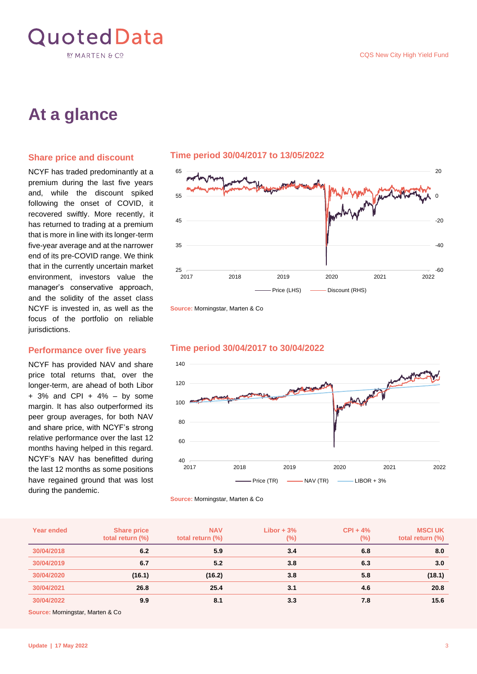

# **At a glance**

#### **Share price and discount**

NCYF has traded predominantly at a premium during the last five years and, while the discount spiked following the onset of COVID, it recovered swiftly. More recently, it has returned to trading at a premium that is more in line with its longer-term five-year average and at the narrower end of its pre-COVID range. We think that in the currently uncertain market environment, investors value the manager's conservative approach, and the solidity of the asset class NCYF is invested in, as well as the focus of the portfolio on reliable jurisdictions.

#### **Performance over five years**

NCYF has provided NAV and share price total returns that, over the longer-term, are ahead of both Libor  $+$  3% and CPI  $+$  4%  $-$  by some margin. It has also outperformed its peer group averages, for both NAV and share price, with NCYF's strong relative performance over the last 12 months having helped in this regard. NCYF's NAV has benefitted during the last 12 months as some positions have regained ground that was lost during the pandemic.



**Source:** Morningstar, Marten & Co



#### **Time period 30/04/2017 to 30/04/2022**

**Source:** Morningstar, Marten & Co

| <b>Year ended</b> | <b>Share price</b><br>total return (%) | <b>NAV</b><br>total return (%) | Libor $+3%$<br>$(\%)$ | $CPI + 4%$<br>(%) | <b>MSCI UK</b><br>total return (%) |
|-------------------|----------------------------------------|--------------------------------|-----------------------|-------------------|------------------------------------|
| 30/04/2018        | 6.2                                    | 5.9                            | 3.4                   | 6.8               | 8.0                                |
| 30/04/2019        | 6.7                                    | 5.2                            | 3.8                   | 6.3               | 3.0                                |
| 30/04/2020        | (16.1)                                 | (16.2)                         | 3.8                   | 5.8               | (18.1)                             |
| 30/04/2021        | 26.8                                   | 25.4                           | 3.1                   | 4.6               | 20.8                               |
| 30/04/2022        | 9.9                                    | 8.1                            | 3.3                   | 7.8               | 15.6                               |

**Source:** Morningstar, Marten & Co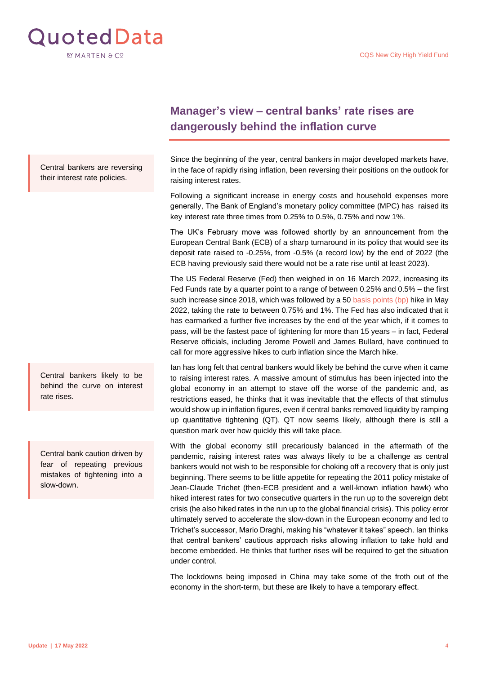

Central bankers are reversing their interest rate policies.

Central bankers likely to be behind the curve on interest rate rises.

Central bank caution driven by fear of repeating previous mistakes of tightening into a slow-down.

## <span id="page-3-0"></span>**Manager's view – central banks' rate rises are dangerously behind the inflation curve**

Since the beginning of the year, central bankers in major developed markets have, in the face of rapidly rising inflation, been reversing their positions on the outlook for raising interest rates.

Following a significant increase in energy costs and household expenses more generally, The Bank of England's monetary policy committee (MPC) has raised its key interest rate three times from 0.25% to 0.5%, 0.75% and now 1%.

The UK's February move was followed shortly by an announcement from the European Central Bank (ECB) of a sharp turnaround in its policy that would see its deposit rate raised to -0.25%, from -0.5% (a record low) by the end of 2022 (the ECB having previously said there would not be a rate rise until at least 2023).

The US Federal Reserve (Fed) then weighed in on 16 March 2022, increasing its Fed Funds rate by a quarter point to a range of between 0.25% and 0.5% – the first such increase since 2018, which was followed by a 5[0 basis points \(bp\)](https://quoteddata.com/glossary/basis-point/) hike in May 2022, taking the rate to between 0.75% and 1%. The Fed has also indicated that it has earmarked a further five increases by the end of the year which, if it comes to pass, will be the fastest pace of tightening for more than 15 years – in fact, Federal Reserve officials, including Jerome Powell and James Bullard, have continued to call for more aggressive hikes to curb inflation since the March hike.

Ian has long felt that central bankers would likely be behind the curve when it came to raising interest rates. A massive amount of stimulus has been injected into the global economy in an attempt to stave off the worse of the pandemic and, as restrictions eased, he thinks that it was inevitable that the effects of that stimulus would show up in inflation figures, even if central banks removed liquidity by ramping up quantitative tightening (QT). QT now seems likely, although there is still a question mark over how quickly this will take place.

With the global economy still precariously balanced in the aftermath of the pandemic, raising interest rates was always likely to be a challenge as central bankers would not wish to be responsible for choking off a recovery that is only just beginning. There seems to be little appetite for repeating the 2011 policy mistake of Jean-Claude Trichet (then-ECB president and a well-known inflation hawk) who hiked interest rates for two consecutive quarters in the run up to the sovereign debt crisis (he also hiked rates in the run up to the global financial crisis). This policy error ultimately served to accelerate the slow-down in the European economy and led to Trichet's successor, Mario Draghi, making his "whatever it takes" speech. Ian thinks that central bankers' cautious approach risks allowing inflation to take hold and become embedded. He thinks that further rises will be required to get the situation under control.

The lockdowns being imposed in China may take some of the froth out of the economy in the short-term, but these are likely to have a temporary effect.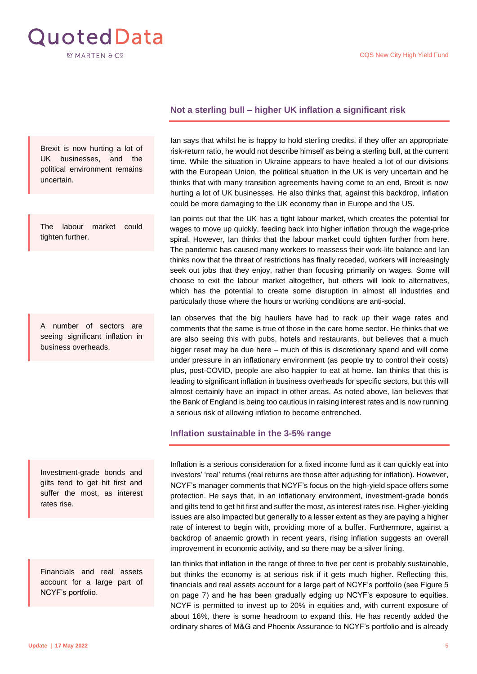<span id="page-4-2"></span>

#### Brexit is now hurting a lot of UK businesses, and the political environment remains uncertain.

The labour market could tighten further.

A number of sectors are seeing significant inflation in business overheads.

Investment-grade bonds and gilts tend to get hit first and suffer the most, as interest rates rise.

Financials and real assets account for a large part of NCYF's portfolio.

#### <span id="page-4-0"></span>**Not a sterling bull – higher UK inflation a significant risk**

Ian says that whilst he is happy to hold sterling credits, if they offer an appropriate risk-return ratio, he would not describe himself as being a sterling bull, at the current time. While the situation in Ukraine appears to have healed a lot of our divisions with the European Union, the political situation in the UK is very uncertain and he thinks that with many transition agreements having come to an end, Brexit is now hurting a lot of UK businesses. He also thinks that, against this backdrop, inflation could be more damaging to the UK economy than in Europe and the US.

Ian points out that the UK has a tight labour market, which creates the potential for wages to move up quickly, feeding back into higher inflation through the wage-price spiral. However, Ian thinks that the labour market could tighten further from here. The pandemic has caused many workers to reassess their work-life balance and Ian thinks now that the threat of restrictions has finally receded, workers will increasingly seek out jobs that they enjoy, rather than focusing primarily on wages. Some will choose to exit the labour market altogether, but others will look to alternatives, which has the potential to create some disruption in almost all industries and particularly those where the hours or working conditions are anti-social.

Ian observes that the big hauliers have had to rack up their wage rates and comments that the same is true of those in the care home sector. He thinks that we are also seeing this with pubs, hotels and restaurants, but believes that a much bigger reset may be due here – much of this is discretionary spend and will come under pressure in an inflationary environment (as people try to control their costs) plus, post-COVID, people are also happier to eat at home. Ian thinks that this is leading to significant inflation in business overheads for specific sectors, but this will almost certainly have an impact in other areas. As noted above, Ian believes that the Bank of England is being too cautious in raising interest rates and is now running a serious risk of allowing inflation to become entrenched.

#### <span id="page-4-1"></span>**Inflation sustainable in the 3-5% range**

Inflation is a serious consideration for a fixed income fund as it can quickly eat into investors' 'real' returns (real returns are those after adjusting for inflation). However, NCYF's manager comments that NCYF's focus on the high-yield space offers some protection. He says that, in an inflationary environment, investment-grade bonds and gilts tend to get hit first and suffer the most, as interest rates rise. Higher-yielding issues are also impacted but generally to a lesser extent as they are paying a higher rate of interest to begin with, providing more of a buffer. Furthermore, against a backdrop of anaemic growth in recent years, rising inflation suggests an overall improvement in economic activity, and so there may be a silver lining.

Ian thinks that inflation in the range of three to five per cent is probably sustainable, but thinks the economy is at serious risk if it gets much higher. Reflecting this, financials and real assets account for a large part of NCYF's portfolio [\(see Figure 5](#page-6-0)  [on page 7\)](#page-6-0) and he has been gradually edging up NCYF's exposure to equities. NCYF is permitted to invest up to 20% in equities and, with current exposure of about 16%, there is some headroom to expand this. He has recently added the ordinary shares of M&G and Phoenix Assurance to NCYF's portfolio and is already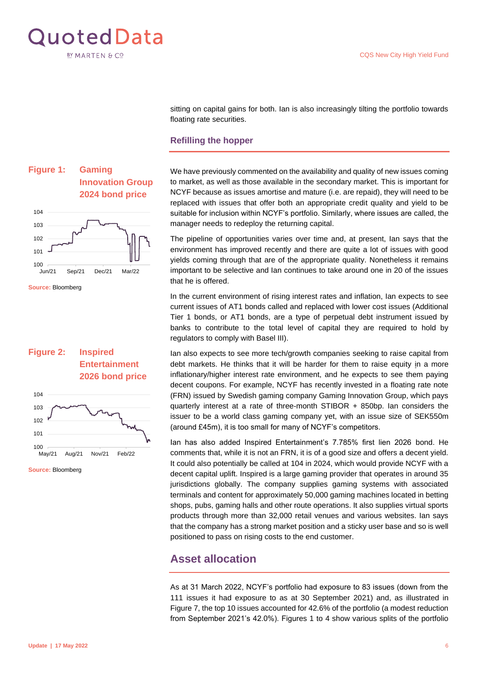<span id="page-5-2"></span>

sitting on capital gains for both. Ian is also increasingly tilting the portfolio towards floating rate securities.

#### <span id="page-5-0"></span>**Refilling the hopper**

We have previously commented on the availability and quality of new issues coming to market, as well as those available in the secondary market. This is important for NCYF because as issues amortise and mature (i.e. are repaid), they will need to be replaced with issues that offer both an appropriate credit quality and yield to be suitable for inclusion within NCYF's portfolio. Similarly, where issues are called, the manager needs to redeploy the returning capital.

The pipeline of opportunities varies over time and, at present, Ian says that the environment has improved recently and there are quite a lot of issues with good yields coming through that are of the appropriate quality. Nonetheless it remains important to be selective and Ian continues to take around one in 20 of the issues that he is offered.

In the current environment of rising interest rates and inflation, Ian expects to see current issues of AT1 bonds called and replaced with lower cost issues (Additional Tier 1 bonds, or AT1 bonds, are a type of perpetual debt instrument issued by banks to contribute to the total level of capital they are required to hold by regulators to comply with Basel III).

Ian also expects to see more tech/growth companies seeking to raise capital from debt markets. He thinks that it will be harder for them to raise equity in a more inflationary/higher interest rate environment, and he expects to see them paying decent coupons. For example, NCYF has recently invested in a floating rate note (FRN) issued by Swedish gaming company Gaming Innovation Group, which pays quarterly interest at a rate of three-month STIBOR + 850bp. Ian considers the issuer to be a world class gaming company yet, with an issue size of SEK550m (around £45m), it is too small for many of NCYF's competitors.

Ian has also added Inspired Entertainment's 7.785% first lien 2026 bond. He comments that, while it is not an FRN, it is of a good size and offers a decent yield. It could also potentially be called at 104 in 2024, which would provide NCYF with a decent capital uplift. Inspired is a large gaming provider that operates in around 35 jurisdictions globally. The company supplies gaming systems with associated terminals and content for approximately 50,000 gaming machines located in betting shops, pubs, gaming halls and other route operations. It also supplies virtual sports products through more than 32,000 retail venues and various websites. Ian says that the company has a strong market position and a sticky user base and so is well positioned to pass on rising costs to the end customer.

## <span id="page-5-1"></span>**Asset allocation**

As at 31 March 2022, NCYF's portfolio had exposure to 83 issues (down from the 111 issues it had exposure to as at 30 September 2021) and, as illustrated in Figure 7, the top 10 issues accounted for 42.6% of the portfolio (a modest reduction from September 2021's 42.0%). Figures 1 to 4 show various splits of the portfolio



Sep/21 Dec/21 Mar/22

**Source:** Bloomberg





**Source:** Bloomberg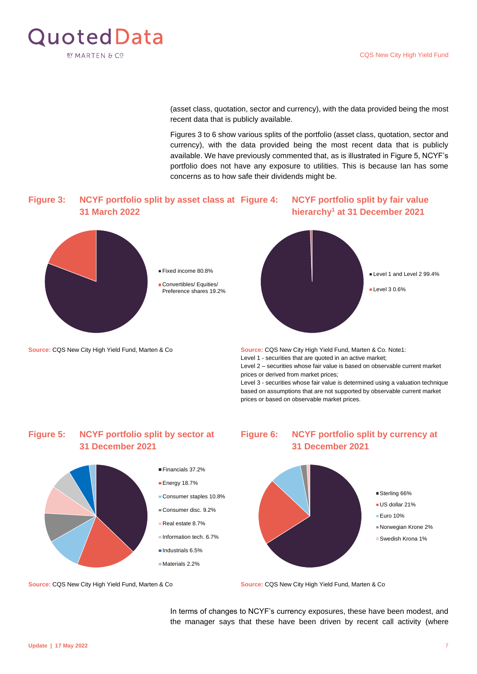<span id="page-6-0"></span>

(asset class, quotation, sector and currency), with the data provided being the most recent data that is publicly available.

Figures 3 to 6 show various splits of the portfolio (asset class, quotation, sector and currency), with the data provided being the most recent data that is publicly available. We have previously commented that, as is illustrated in Figure 5, NCYF's portfolio does not have any exposure to utilities. This is because Ian has some concerns as to how safe their dividends might be.

#### **Figure 3: NCYF portfolio split by asset class at 31 March 2022 NCYF portfolio split by fair value hierarchy<sup>1</sup> at 31 December 2021**



**Source:** CQS New City High Yield Fund, Marten & Co **Source:** CQS New City High Yield Fund, Marten & Co. Note1:



Level 1 - securities that are quoted in an active market; Level 2 – securities whose fair value is based on observable current market prices or derived from market prices; Level 3 - securities whose fair value is determined using a valuation technique

based on assumptions that are not supported by observable current market prices or based on observable market prices.

## **Figure 5: NCYF portfolio split by sector at 31 December 2021**



- Industrials 6.5%
- Materials 2.2%

## **Figure 6: NCYF portfolio split by currency at 31 December 2021**



**Source:** CQS New City High Yield Fund, Marten & Co **Source:** CQS New City High Yield Fund, Marten & Co

In terms of changes to NCYF's currency exposures, these have been modest, and the manager says that these have been driven by recent call activity (where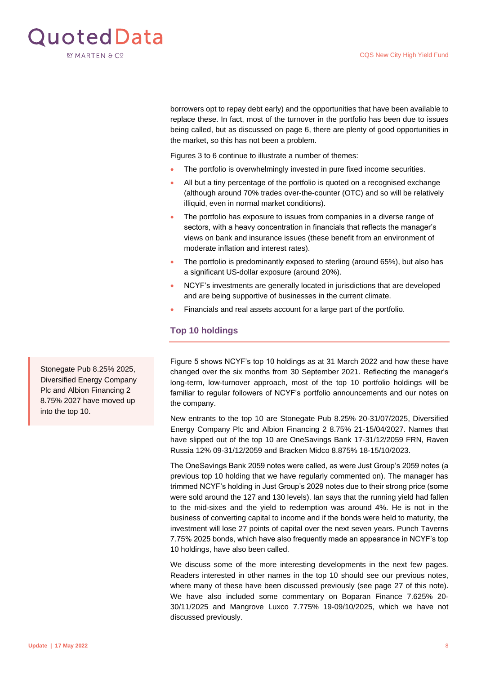

borrowers opt to repay debt early) and the opportunities that have been available to replace these. In fact, most of the turnover in the portfolio has been due to issues being called, but [as discussed on page](#page-5-2) 6, there are plenty of good opportunities in the market, so this has not been a problem.

Figures 3 to 6 continue to illustrate a number of themes:

- The portfolio is overwhelmingly invested in pure fixed income securities.
- All but a tiny percentage of the portfolio is quoted on a recognised exchange (although around 70% trades over-the-counter (OTC) and so will be relatively illiquid, even in normal market conditions).
- The portfolio has exposure to issues from companies in a diverse range of sectors, with a heavy concentration in financials that reflects the manager's views on bank and insurance issues (these benefit from an environment of moderate inflation and interest rates).
- The portfolio is predominantly exposed to sterling (around 65%), but also has a significant US-dollar exposure (around 20%).
- NCYF's investments are generally located in jurisdictions that are developed and are being supportive of businesses in the current climate.
- Financials and real assets account for a large part of the portfolio.

#### <span id="page-7-0"></span>**Top 10 holdings**

Figure 5 shows NCYF's top 10 holdings as at 31 March 2022 and how these have changed over the six months from 30 September 2021. Reflecting the manager's long-term, low-turnover approach, most of the top 10 portfolio holdings will be familiar to regular followers of NCYF's portfolio announcements and our notes on the company.

New entrants to the top 10 are Stonegate Pub 8.25% 20-31/07/2025, Diversified Energy Company Plc and Albion Financing 2 8.75% 21-15/04/2027. Names that have slipped out of the top 10 are OneSavings Bank 17-31/12/2059 FRN, Raven Russia 12% 09-31/12/2059 and Bracken Midco 8.875% 18-15/10/2023.

The OneSavings Bank 2059 notes were called, as were Just Group's 2059 notes (a previous top 10 holding that we have regularly commented on). The manager has trimmed NCYF's holding in Just Group's 2029 notes due to their strong price (some were sold around the 127 and 130 levels). Ian says that the running yield had fallen to the mid-sixes and the yield to redemption was around 4%. He is not in the business of converting capital to income and if the bonds were held to maturity, the investment will lose 27 points of capital over the next seven years. Punch Taverns 7.75% 2025 bonds, which have also frequently made an appearance in NCYF's top 10 holdings, have also been called.

We discuss some of the more interesting developments in the next few pages. Readers interested in other names in the top 10 should see our previous notes, where many of these have been discussed previously [\(see page 27](#page-26-1) of this note). We have also included some commentary on Boparan Finance 7.625% 20- 30/11/2025 and Mangrove Luxco 7.775% 19-09/10/2025, which we have not discussed previously.

Stonegate Pub 8.25% 2025, Diversified Energy Company Plc and Albion Financing 2 8.75% 2027 have moved up into the top 10.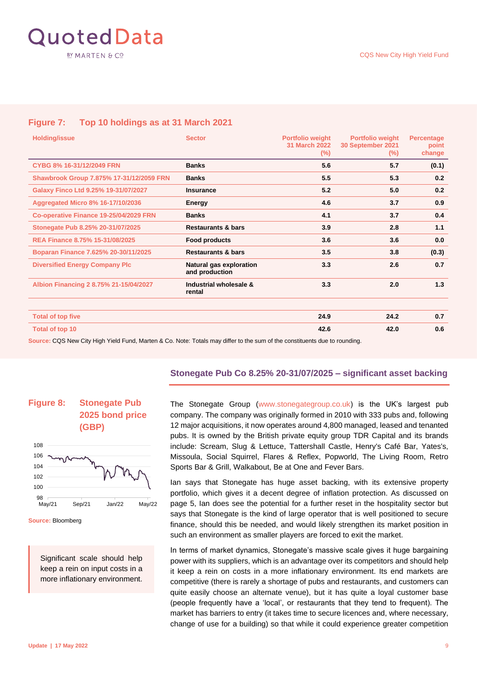

#### **Figure 7: Top 10 holdings as at 31 March 2021**

| <b>Holding/issue</b>                     | <b>Sector</b>                             | <b>Portfolio weight</b><br><b>31 March 2022</b><br>$(\%)$ | <b>Portfolio weight</b><br>30 September 2021<br>$(\%)$ | <b>Percentage</b><br>point<br>change |
|------------------------------------------|-------------------------------------------|-----------------------------------------------------------|--------------------------------------------------------|--------------------------------------|
| CYBG 8% 16-31/12/2049 FRN                | <b>Banks</b>                              | 5.6                                                       | 5.7                                                    | (0.1)                                |
| Shawbrook Group 7.875% 17-31/12/2059 FRN | <b>Banks</b>                              | 5.5                                                       | 5.3                                                    | 0.2                                  |
| Galaxy Finco Ltd 9.25% 19-31/07/2027     | <b>Insurance</b>                          | 5.2                                                       | 5.0                                                    | 0.2                                  |
| <b>Aggregated Micro 8% 16-17/10/2036</b> | Energy                                    | 4.6                                                       | 3.7                                                    | 0.9                                  |
| Co-operative Finance 19-25/04/2029 FRN   | <b>Banks</b>                              | 4.1                                                       | 3.7                                                    | 0.4                                  |
| Stonegate Pub 8.25% 20-31/07/2025        | <b>Restaurants &amp; bars</b>             | 3.9                                                       | 2.8                                                    | 1.1                                  |
| REA Finance 8.75% 15-31/08/2025          | <b>Food products</b>                      | 3.6                                                       | 3.6                                                    | 0.0                                  |
| Boparan Finance 7.625% 20-30/11/2025     | <b>Restaurants &amp; bars</b>             | 3.5                                                       | 3.8                                                    | (0.3)                                |
| <b>Diversified Energy Company Plc</b>    | Natural gas exploration<br>and production | 3.3                                                       | 2.6                                                    | 0.7                                  |
| Albion Financing 2 8.75% 21-15/04/2027   | Industrial wholesale &<br>rental          | 3.3                                                       | 2.0                                                    | 1.3                                  |
|                                          |                                           |                                                           |                                                        |                                      |
| <b>Total of top five</b>                 |                                           | 24.9                                                      | 24.2                                                   | 0.7                                  |
| Total of top 10                          |                                           | 42.6                                                      | 42.0                                                   | 0.6                                  |

**Source:** CQS New City High Yield Fund, Marten & Co. Note: Totals may differ to the sum of the constituents due to rounding.

#### <span id="page-8-0"></span>**Stonegate Pub Co 8.25% 20-31/07/2025 – significant asset backing**



**Source:** Bloomberg

Significant scale should help keep a rein on input costs in a more inflationary environment.

The Stonegate Group [\(www.stonegategroup.co.uk\)](http://www.stonegategroup.co.uk/) is the UK's largest pub company. The company was originally formed in 2010 with 333 pubs and, following 12 major acquisitions, it now operates around 4,800 managed, leased and tenanted pubs. It is owned by the British private equity group TDR Capital and its brands include: Scream, Slug & Lettuce, Tattershall Castle, Henry's Café Bar, Yates's, Missoula, Social Squirrel, Flares & Reflex, Popworld, The Living Room, Retro Sports Bar & Grill, Walkabout, Be at One and Fever Bars.

Ian says that Stonegate has huge asset backing, with its extensive property portfolio, which gives it a decent degree of inflation protection. As discussed on [page 5,](#page-4-2) Ian does see the potential for a further reset in the hospitality sector but says that Stonegate is the kind of large operator that is well positioned to secure finance, should this be needed, and would likely strengthen its market position in such an environment as smaller players are forced to exit the market.

In terms of market dynamics, Stonegate's massive scale gives it huge bargaining power with its suppliers, which is an advantage over its competitors and should help it keep a rein on costs in a more inflationary environment. Its end markets are competitive (there is rarely a shortage of pubs and restaurants, and customers can quite easily choose an alternate venue), but it has quite a loyal customer base (people frequently have a 'local', or restaurants that they tend to frequent). The market has barriers to entry (it takes time to secure licences and, where necessary, change of use for a building) so that while it could experience greater competition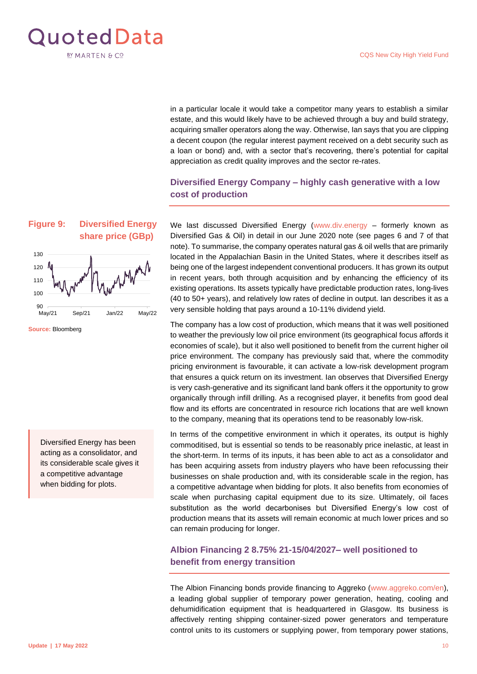

in a particular locale it would take a competitor many years to establish a similar estate, and this would likely have to be achieved through a buy and build strategy, acquiring smaller operators along the way. Otherwise, Ian says that you are clipping a decent coupon (the regular interest payment received on a debt security such as a loan or bond) and, with a sector that's recovering, there's potential for capital appreciation as credit quality improves and the sector re-rates.

## <span id="page-9-0"></span>**Diversified Energy Company – highly cash generative with a low cost of production**

We last discussed Diversified Energy [\(www.div.energy](http://www.div.energy/) - formerly known as Diversified Gas & Oil) [in detail in our June 2020 note \(see pages 6 and 7 of that](https://quoteddata.com/research/cqs-city-high-yield-sitting-pretty/)  [note](https://quoteddata.com/research/cqs-city-high-yield-sitting-pretty/)). To summarise, the company operates natural gas & oil wells that are primarily located in the Appalachian Basin in the United States, where it describes itself as being one of the largest independent conventional producers. It has grown its output in recent years, both through acquisition and by enhancing the efficiency of its existing operations. Its assets typically have predictable production rates, long-lives (40 to 50+ years), and relatively low rates of decline in output. Ian describes it as a very sensible holding that pays around a 10-11% dividend yield.

The company has a low cost of production, which means that it was well positioned to weather the previously low oil price environment (its geographical focus affords it economies of scale), but it also well positioned to benefit from the current higher oil price environment. The company has previously said that, where the commodity pricing environment is favourable, it can activate a low-risk development program that ensures a quick return on its investment. Ian observes that Diversified Energy is very cash-generative and its significant land bank offers it the opportunity to grow organically through infill drilling. As a recognised player, it benefits from good deal flow and its efforts are concentrated in resource rich locations that are well known to the company, meaning that its operations tend to be reasonably low-risk.

In terms of the competitive environment in which it operates, its output is highly commoditised, but is essential so tends to be reasonably price inelastic, at least in the short-term. In terms of its inputs, it has been able to act as a consolidator and has been acquiring assets from industry players who have been refocussing their businesses on shale production and, with its considerable scale in the region, has a competitive advantage when bidding for plots. It also benefits from economies of scale when purchasing capital equipment due to its size. Ultimately, oil faces substitution as the world decarbonises but Diversified Energy's low cost of production means that its assets will remain economic at much lower prices and so can remain producing for longer.

#### <span id="page-9-1"></span>**Albion Financing 2 8.75% 21-15/04/2027– well positioned to benefit from energy transition**

The Albion Financing bonds provide financing to Aggreko [\(www.aggreko.com/en\)](http://www.aggreko.com/en), a leading global supplier of temporary power generation, heating, cooling and dehumidification equipment that is headquartered in Glasgow. Its business is affectively renting shipping container-sized power generators and temperature control units to its customers or supplying power, from temporary power stations,



**Source:** Bloomberg

Diversified Energy has been acting as a consolidator, and its considerable scale gives it a competitive advantage when bidding for plots.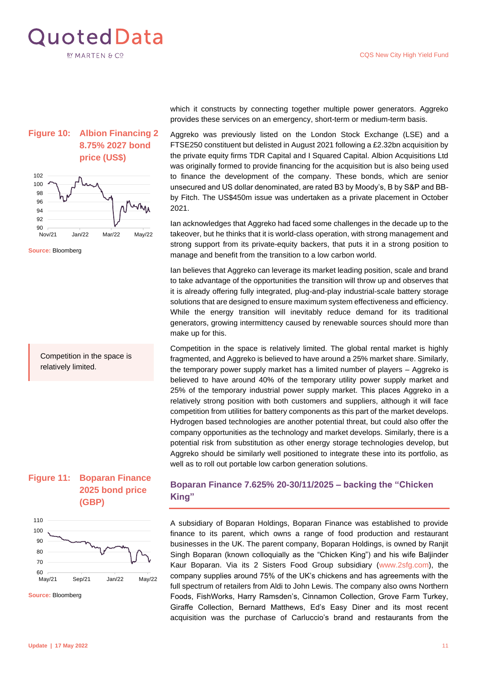

## **Figure 10: Albion Financing 2 8.75% 2027 bond price (US\$)**



**Source:** Bloomberg

Competition in the space is relatively limited.





**Source:** Bloomberg

which it constructs by connecting together multiple power generators. Aggreko provides these services on an emergency, short-term or medium-term basis.

Aggreko was previously listed on the London Stock Exchange (LSE) and a FTSE250 constituent but delisted in August 2021 following a £2.32bn acquisition by the private equity firms TDR Capital and I Squared Capital. Albion Acquisitions Ltd was originally formed to provide financing for the acquisition but is also being used to finance the development of the company. These bonds, which are senior unsecured and US dollar denominated, are rated B3 by Moody's, B by S&P and BBby Fitch. The US\$450m issue was undertaken as a private placement in October 2021.

Ian acknowledges that Aggreko had faced some challenges in the decade up to the takeover, but he thinks that it is world-class operation, with strong management and strong support from its private-equity backers, that puts it in a strong position to manage and benefit from the transition to a low carbon world.

Ian believes that Aggreko can leverage its market leading position, scale and brand to take advantage of the opportunities the transition will throw up and observes that it is already offering fully integrated, plug-and-play industrial-scale battery storage solutions that are designed to ensure maximum system effectiveness and efficiency. While the energy transition will inevitably reduce demand for its traditional generators, growing intermittency caused by renewable sources should more than make up for this.

Competition in the space is relatively limited. The global rental market is highly fragmented, and Aggreko is believed to have around a 25% market share. Similarly, the temporary power supply market has a limited number of players – Aggreko is believed to have around 40% of the temporary utility power supply market and 25% of the temporary industrial power supply market. This places Aggreko in a relatively strong position with both customers and suppliers, although it will face competition from utilities for battery components as this part of the market develops. Hydrogen based technologies are another potential threat, but could also offer the company opportunities as the technology and market develops. Similarly, there is a potential risk from substitution as other energy storage technologies develop, but Aggreko should be similarly well positioned to integrate these into its portfolio, as well as to roll out portable low carbon generation solutions.

#### <span id="page-10-0"></span>**Boparan Finance 7.625% 20-30/11/2025 – backing the "Chicken King"**

A subsidiary of Boparan Holdings, Boparan Finance was established to provide finance to its parent, which owns a range of food production and restaurant businesses in the UK. The parent company, Boparan Holdings, is owned by Ranjit Singh Boparan (known colloquially as the "Chicken King") and his wife Baljinder Kaur Boparan. Via its 2 Sisters Food Group subsidiary [\(www.2sfg.com\)](http://www.2sfg.com/), the company supplies around 75% of the UK's chickens and has agreements with the full spectrum of retailers from Aldi to John Lewis. The company also owns Northern Foods, FishWorks, Harry Ramsden's, Cinnamon Collection, Grove Farm Turkey, Giraffe Collection, Bernard Matthews, Ed's Easy Diner and its most recent acquisition was the purchase of Carluccio's brand and restaurants from the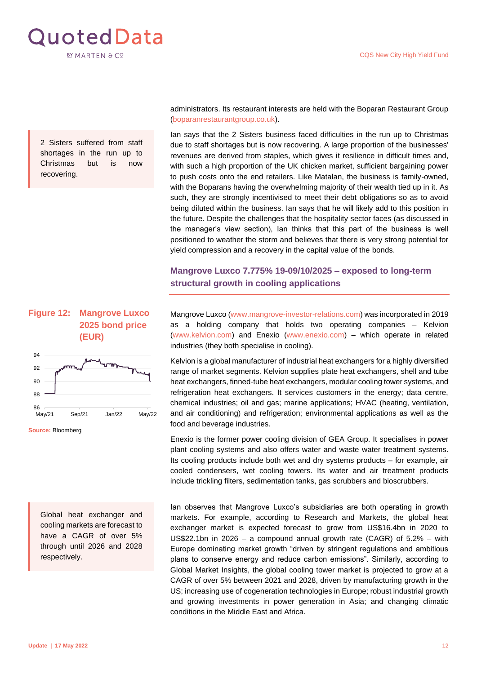

2 Sisters suffered from staff shortages in the run up to Christmas but is now recovering.

#### **Figure 12: Mangrove Luxco 2025 bond price (EUR)**



**Source:** Bloomberg

Global heat exchanger and cooling markets are forecast to have a CAGR of over 5% through until 2026 and 2028 respectively.

administrators. Its restaurant interests are held with the Boparan Restaurant Group [\(boparanrestaurantgroup.co.uk\)](https://boparanrestaurantgroup.co.uk/).

Ian says that the 2 Sisters business faced difficulties in the run up to Christmas due to staff shortages but is now recovering. A large proportion of the businesses' revenues are derived from staples, which gives it resilience in difficult times and, with such a high proportion of the UK chicken market, sufficient bargaining power to push costs onto the end retailers. Like Matalan, the business is family-owned, with the Boparans having the overwhelming majority of their wealth tied up in it. As such, they are strongly incentivised to meet their debt obligations so as to avoid being diluted within the business. Ian says that he will likely add to this position in the future. Despite the challenges that the hospitality sector faces (as discussed in the manager's view section), Ian thinks that this part of the business is well positioned to weather the storm and believes that there is very strong potential for yield compression and a recovery in the capital value of the bonds.

### <span id="page-11-0"></span>**Mangrove Luxco 7.775% 19-09/10/2025 – exposed to long-term structural growth in cooling applications**

Mangrove Luxco [\(www.mangrove-investor-relations.com\)](http://www.mangrove-investor-relations.com/) was incorporated in 2019 as a holding company that holds two operating companies – Kelvion [\(www.kelvion.com\)](http://www.kelvion.com/) and Enexio [\(www.enexio.com\)](http://www.enexio.com/) – which operate in related industries (they both specialise in cooling).

Kelvion is a global manufacturer of industrial heat exchangers for a highly diversified range of market segments. Kelvion supplies plate heat exchangers, shell and tube heat exchangers, finned-tube heat exchangers, modular cooling tower systems, and refrigeration heat exchangers. It services customers in the energy; data centre, chemical industries; oil and gas; marine applications; HVAC (heating, ventilation, and air conditioning) and refrigeration; environmental applications as well as the food and beverage industries.

Enexio is the former power cooling division of GEA Group. It specialises in power plant cooling systems and also offers water and waste water treatment systems. Its cooling products include both wet and dry systems products – for example, air cooled condensers, wet cooling towers. Its water and air treatment products include trickling filters, sedimentation tanks, gas scrubbers and bioscrubbers.

Ian observes that Mangrove Luxco's subsidiaries are both operating in growth markets. For example, according to Research and Markets, the global heat exchanger market is expected forecast to grow from US\$16.4bn in 2020 to US\$22.1bn in 2026 – a compound annual growth rate (CAGR) of 5.2% – with Europe dominating market growth "driven by stringent regulations and ambitious plans to conserve energy and reduce carbon emissions". Similarly, according to Global Market Insights, the global cooling tower market is projected to grow at a CAGR of over 5% between 2021 and 2028, driven by manufacturing growth in the US; increasing use of cogeneration technologies in Europe; robust industrial growth and growing investments in power generation in Asia; and changing climatic conditions in the Middle East and Africa.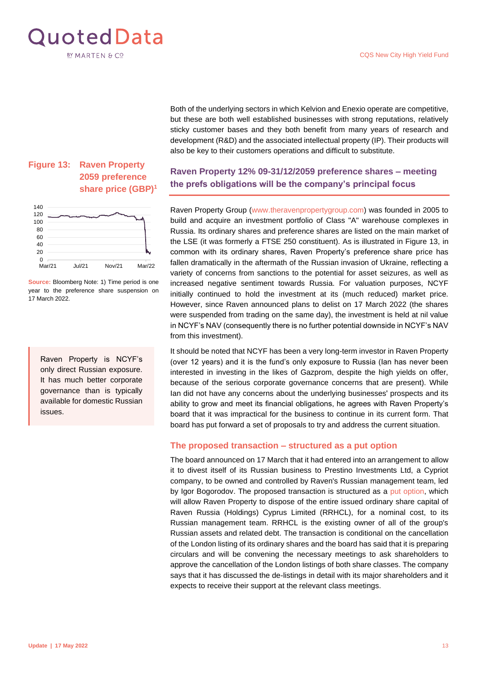<span id="page-12-1"></span>

Both of the underlying sectors in which Kelvion and Enexio operate are competitive, but these are both well established businesses with strong reputations, relatively sticky customer bases and they both benefit from many years of research and development (R&D) and the associated intellectual property (IP). Their products will also be key to their customers operations and difficult to substitute.

## <span id="page-12-0"></span>**Raven Property 12% 09-31/12/2059 preference shares – meeting the prefs obligations will be the company's principal focus**

Raven Property Group [\(www.theravenpropertygroup.com\)](http://www.theravenpropertygroup.com/) was founded in 2005 to build and acquire an investment portfolio of Class "A" warehouse complexes in Russia. Its ordinary shares and preference shares are listed on the main market of the LSE (it was formerly a FTSE 250 constituent). As is illustrated in Figure 13, in common with its ordinary shares, Raven Property's preference share price has fallen dramatically in the aftermath of the Russian invasion of Ukraine, reflecting a variety of concerns from sanctions to the potential for asset seizures, as well as increased negative sentiment towards Russia. For valuation purposes, NCYF initially continued to hold the investment at its (much reduced) market price. However, since Raven announced plans to delist on 17 March 2022 (the shares were suspended from trading on the same day), the investment is held at nil value in NCYF's NAV (consequently there is no further potential downside in NCYF's NAV from this investment).

It should be noted that NCYF has been a very long-term investor in Raven Property (over 12 years) and it is the fund's only exposure to Russia (Ian has never been interested in investing in the likes of Gazprom, despite the high yields on offer, because of the serious corporate governance concerns that are present). While Ian did not have any concerns about the underlying businesses' prospects and its ability to grow and meet its financial obligations, he agrees with Raven Property's board that it was impractical for the business to continue in its current form. That board has put forward a set of proposals to try and address the current situation.

#### **The proposed transaction – structured as a put option**

The board announced on 17 March that it had entered into an arrangement to allow it to divest itself of its Russian business to Prestino Investments Ltd, a Cypriot company, to be owned and controlled by Raven's Russian management team, led by Igor Bogorodov. The proposed transaction is structured as a [put option,](https://quoteddata.com/glossary/put-or-puts/) which will allow Raven Property to dispose of the entire issued ordinary share capital of Raven Russia (Holdings) Cyprus Limited (RRHCL), for a nominal cost, to its Russian management team. RRHCL is the existing owner of all of the group's Russian assets and related debt. The transaction is conditional on the cancellation of the London listing of its ordinary shares and the board has said that it is preparing circulars and will be convening the necessary meetings to ask shareholders to approve the cancellation of the London listings of both share classes. The company says that it has discussed the de-listings in detail with its major shareholders and it expects to receive their support at the relevant class meetings.

## **Figure 13: Raven Property 2059 preference share price (GBP)<sup>1</sup>**



**Source:** Bloomberg Note: 1) Time period is one year to the preference share suspension on 17 March 2022.

Raven Property is NCYF's only direct Russian exposure. It has much better corporate governance than is typically available for domestic Russian issues.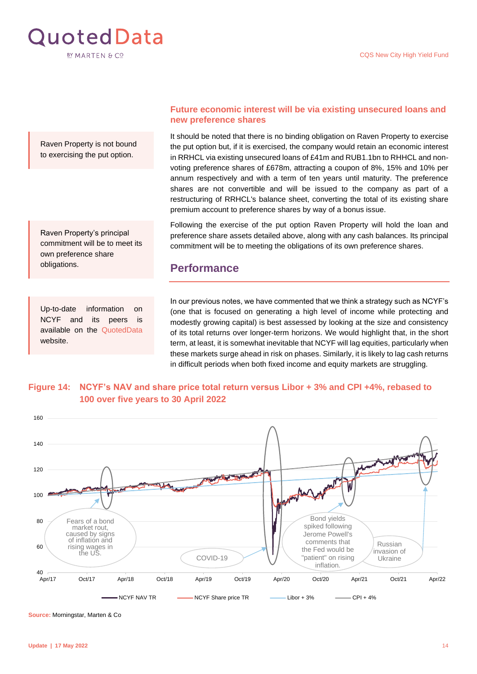

Raven Property is not bound to exercising the put option.

Raven Property's principal commitment will be to meet its own preference share obligations.

Up-to-date information on NCYF and its peers is available on the [QuotedData](https://quoteddata.com/sector/investment-companies/debt/debt-loans-bonds/) website.

#### **Future economic interest will be via existing unsecured loans and new preference shares**

It should be noted that there is no binding obligation on Raven Property to exercise the put option but, if it is exercised, the company would retain an economic interest in RRHCL via existing unsecured loans of £41m and RUB1.1bn to RHHCL and nonvoting preference shares of £678m, attracting a coupon of 8%, 15% and 10% per annum respectively and with a term of ten years until maturity. The preference shares are not convertible and will be issued to the company as part of a restructuring of RRHCL's balance sheet, converting the total of its existing share premium account to preference shares by way of a bonus issue.

Following the exercise of the put option Raven Property will hold the loan and preference share assets detailed above, along with any cash balances. Its principal commitment will be to meeting the obligations of its own preference shares.

## <span id="page-13-0"></span>**Performance**

In our previous notes, we have commented that we think a strategy such as NCYF's (one that is focused on generating a high level of income while protecting and modestly growing capital) is best assessed by looking at the size and consistency of its total returns over longer-term horizons. We would highlight that, in the short term, at least, it is somewhat inevitable that NCYF will lag equities, particularly when these markets surge ahead in risk on phases. Similarly, it is likely to lag cash returns in difficult periods when both fixed income and equity markets are struggling.

### **Figure 14: NCYF's NAV and share price total return versus Libor + 3% and CPI +4%, rebased to 100 over five years to 30 April 2022**



**Source:** Morningstar, Marten & Co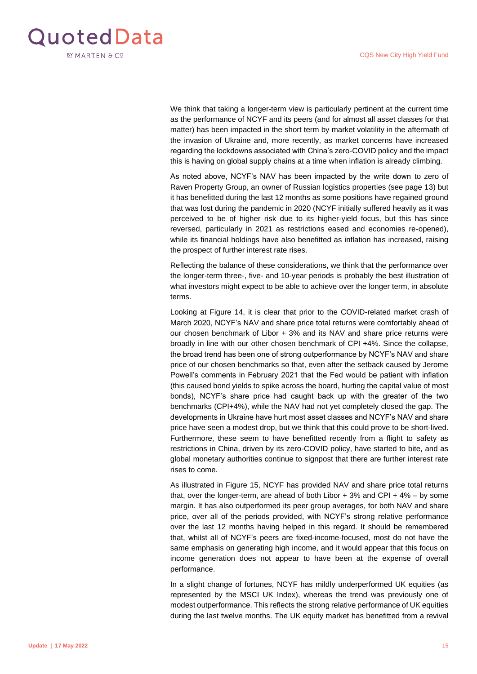

We think that taking a longer-term view is particularly pertinent at the current time as the performance of NCYF and its peers (and for almost all asset classes for that matter) has been impacted in the short term by market volatility in the aftermath of the invasion of Ukraine and, more recently, as market concerns have increased regarding the lockdowns associated with China's zero-COVID policy and the impact this is having on global supply chains at a time when inflation is already climbing.

As noted above, NCYF's NAV has been impacted by the write down to zero of Raven Property Group, an owner of Russian logistics properties ([see page 13\)](#page-12-1) but it has benefitted during the last 12 months as some positions have regained ground that was lost during the pandemic in 2020 (NCYF initially suffered heavily as it was perceived to be of higher risk due to its higher-yield focus, but this has since reversed, particularly in 2021 as restrictions eased and economies re-opened), while its financial holdings have also benefitted as inflation has increased, raising the prospect of further interest rate rises.

Reflecting the balance of these considerations, we think that the performance over the longer-term three-, five- and 10-year periods is probably the best illustration of what investors might expect to be able to achieve over the longer term, in absolute terms.

Looking at Figure 14, it is clear that prior to the COVID-related market crash of March 2020, NCYF's NAV and share price total returns were comfortably ahead of our chosen benchmark of Libor + 3% and its NAV and share price returns were broadly in line with our other chosen benchmark of CPI +4%. Since the collapse, the broad trend has been one of strong outperformance by NCYF's NAV and share price of our chosen benchmarks so that, even after the setback caused by Jerome Powell's comments in February 2021 that the Fed would be patient with inflation (this caused bond yields to spike across the board, hurting the capital value of most bonds), NCYF's share price had caught back up with the greater of the two benchmarks (CPI+4%), while the NAV had not yet completely closed the gap. The developments in Ukraine have hurt most asset classes and NCYF's NAV and share price have seen a modest drop, but we think that this could prove to be short-lived. Furthermore, these seem to have benefitted recently from a flight to safety as restrictions in China, driven by its zero-COVID policy, have started to bite, and as global monetary authorities continue to signpost that there are further interest rate rises to come.

As illustrated in Figure 15, NCYF has provided NAV and share price total returns that, over the longer-term, are ahead of both Libor  $+ 3\%$  and CPI  $+ 4\%$  – by some margin. It has also outperformed its peer group averages, for both NAV and share price, over all of the periods provided, with NCYF's strong relative performance over the last 12 months having helped in this regard. It should be remembered that, whilst all of NCYF's peers are fixed-income-focused, most do not have the same emphasis on generating high income, and it would appear that this focus on income generation does not appear to have been at the expense of overall performance.

In a slight change of fortunes, NCYF has mildly underperformed UK equities (as represented by the MSCI UK Index), whereas the trend was previously one of modest outperformance. This reflects the strong relative performance of UK equities during the last twelve months. The UK equity market has benefitted from a revival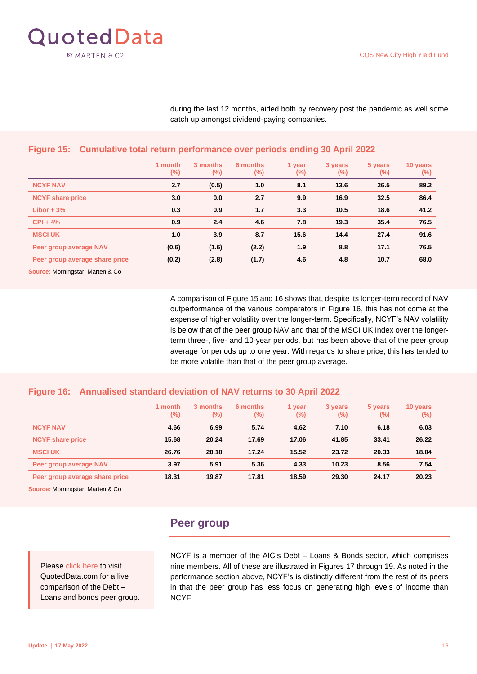

during the last 12 months, aided both by recovery post the pandemic as well some catch up amongst dividend-paying companies.

|                                | 1 month<br>$(\%)$ | 3 months<br>$(\%)$ | 6 months<br>$(\%)$ | 1 year<br>$(\%)$ | 3 years<br>$(\%)$ | 5 years<br>$(\%)$ | 10 years<br>$(\%)$ |
|--------------------------------|-------------------|--------------------|--------------------|------------------|-------------------|-------------------|--------------------|
| <b>NCYF NAV</b>                | 2.7               | (0.5)              | 1.0                | 8.1              | 13.6              | 26.5              | 89.2               |
| <b>NCYF</b> share price        | 3.0               | 0.0                | 2.7                | 9.9              | 16.9              | 32.5              | 86.4               |
| Libor $+3%$                    | 0.3               | 0.9                | 1.7                | 3.3              | 10.5              | 18.6              | 41.2               |
| $CPI + 4%$                     | 0.9               | 2.4                | 4.6                | 7.8              | 19.3              | 35.4              | 76.5               |
| <b>MSCI UK</b>                 | 1.0               | 3.9                | 8.7                | 15.6             | 14.4              | 27.4              | 91.6               |
| Peer group average NAV         | (0.6)             | (1.6)              | (2.2)              | 1.9              | 8.8               | 17.1              | 76.5               |
| Peer group average share price | (0.2)             | (2.8)              | (1.7)              | 4.6              | 4.8               | 10.7              | 68.0               |

#### **Figure 15: Cumulative total return performance over periods ending 30 April 2022**

**Source:** Morningstar, Marten & Co

A comparison of Figure 15 and 16 shows that, despite its longer-term record of NAV outperformance of the various comparators in Figure 16, this has not come at the expense of higher volatility over the longer-term. Specifically, NCYF's NAV volatility is below that of the peer group NAV and that of the MSCI UK Index over the longerterm three-, five- and 10-year periods, but has been above that of the peer group average for periods up to one year. With regards to share price, this has tended to be more volatile than that of the peer group average.

#### **Figure 16: Annualised standard deviation of NAV returns to 30 April 2022**

|                                | 1 month<br>$(\%)$ | 3 months<br>$(\%)$ | 6 months<br>(%) | 1 year<br>(%) | 3 years<br>$(\%)$ | 5 years<br>(%) | 10 years<br>$(\%)$ |
|--------------------------------|-------------------|--------------------|-----------------|---------------|-------------------|----------------|--------------------|
| <b>NCYF NAV</b>                | 4.66              | 6.99               | 5.74            | 4.62          | 7.10              | 6.18           | 6.03               |
| <b>NCYF</b> share price        | 15.68             | 20.24              | 17.69           | 17.06         | 41.85             | 33.41          | 26.22              |
| <b>MSCI UK</b>                 | 26.76             | 20.18              | 17.24           | 15.52         | 23.72             | 20.33          | 18.84              |
| Peer group average NAV         | 3.97              | 5.91               | 5.36            | 4.33          | 10.23             | 8.56           | 7.54               |
| Peer group average share price | 18.31             | 19.87              | 17.81           | 18.59         | 29.30             | 24.17          | 20.23              |

**Source:** Morningstar, Marten & Co

## <span id="page-15-0"></span>**Peer group**

Please [click here](https://quoteddata.com/sector/investment-companies/debt/debt-loans-bonds/) to visit QuotedData.com for a live comparison of the Debt – Loans and bonds peer group. NCYF is a member of the AIC's Debt – Loans & Bonds sector, which comprises nine members. All of these are illustrated in Figures 17 through 19. As noted in the performance section above, NCYF's is distinctly different from the rest of its peers in that the peer group has less focus on generating high levels of income than NCYF.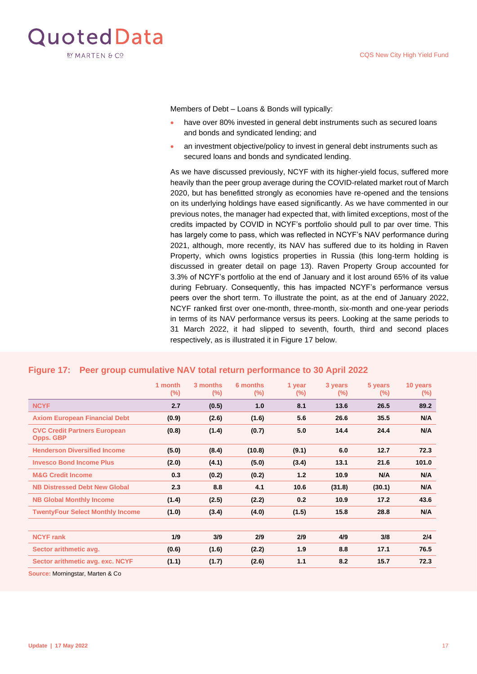

Members of Debt – Loans & Bonds will typically:

- have over 80% invested in general debt instruments such as secured loans and bonds and syndicated lending; and
- an investment objective/policy to invest in general debt instruments such as secured loans and bonds and syndicated lending.

As we have discussed previously, NCYF with its higher-yield focus, suffered more heavily than the peer group average during the COVID-related market rout of March 2020, but has benefitted strongly as economies have re-opened and the tensions on its underlying holdings have eased significantly. As we have commented in our previous notes, the manager had expected that, with limited exceptions, most of the credits impacted by COVID in NCYF's portfolio should pull to par over time. This has largely come to pass, which was reflected in NCYF's NAV performance during 2021, although, more recently, its NAV has suffered due to its holding in Raven Property, which owns logistics properties in Russia [\(this long-term holding is](#page-12-1)  [discussed in greater detail on page 13\)](#page-12-1). Raven Property Group accounted for 3.3% of NCYF's portfolio at the end of January and it lost around 65% of its value during February. Consequently, this has impacted NCYF's performance versus peers over the short term. To illustrate the point, as at the end of January 2022, NCYF ranked first over one-month, three-month, six-month and one-year periods in terms of its NAV performance versus its peers. Looking at the same periods to 31 March 2022, it had slipped to seventh, fourth, third and second places respectively, as is illustrated it in Figure 17 below.

|                                                         | 1 month<br>$(\% )$ | 3 months<br>$(\%)$ | 6 months<br>$(\%)$ | 1 year<br>$(\%)$ | 3 years<br>$(\%)$ | 5 years<br>$(\%)$ | 10 years<br>$(\%)$ |
|---------------------------------------------------------|--------------------|--------------------|--------------------|------------------|-------------------|-------------------|--------------------|
| <b>NCYF</b>                                             | 2.7                | (0.5)              | 1.0                | 8.1              | 13.6              | 26.5              | 89.2               |
| <b>Axiom European Financial Debt</b>                    | (0.9)              | (2.6)              | (1.6)              | 5.6              | 26.6              | 35.5              | N/A                |
| <b>CVC Credit Partners European</b><br><b>Opps. GBP</b> | (0.8)              | (1.4)              | (0.7)              | 5.0              | 14.4              | 24.4              | N/A                |
| <b>Henderson Diversified Income</b>                     | (5.0)              | (8.4)              | (10.8)             | (9.1)            | 6.0               | 12.7              | 72.3               |
| <b>Invesco Bond Income Plus</b>                         | (2.0)              | (4.1)              | (5.0)              | (3.4)            | 13.1              | 21.6              | 101.0              |
| <b>M&amp;G Credit Income</b>                            | 0.3                | (0.2)              | (0.2)              | $1.2$            | 10.9              | N/A               | N/A                |
| <b>NB Distressed Debt New Global</b>                    | 2.3                | 8.8                | 4.1                | 10.6             | (31.8)            | (30.1)            | N/A                |
| <b>NB Global Monthly Income</b>                         | (1.4)              | (2.5)              | (2.2)              | 0.2              | 10.9              | 17.2              | 43.6               |
| <b>TwentyFour Select Monthly Income</b>                 | (1.0)              | (3.4)              | (4.0)              | (1.5)            | 15.8              | 28.8              | N/A                |
| <b>NCYF</b> rank                                        | 1/9                | 3/9                | 2/9                | 2/9              | 4/9               | 3/8               | 2/4                |
| Sector arithmetic avg.                                  | (0.6)              | (1.6)              | (2.2)              | 1.9              | 8.8               | 17.1              | 76.5               |
| Sector arithmetic avg. exc. NCYF                        | (1.1)              | (1.7)              | (2.6)              | 1.1              | 8.2               | 15.7              | 72.3               |

#### **Figure 17: Peer group cumulative NAV total return performance to 30 April 2022**

**Source:** Morningstar, Marten & Co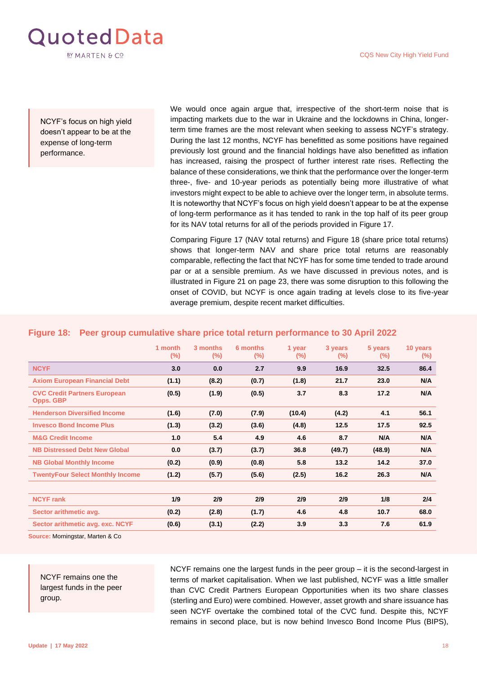

NCYF's focus on high yield doesn't appear to be at the expense of long-term performance.

We would once again argue that, irrespective of the short-term noise that is impacting markets due to the war in Ukraine and the lockdowns in China, longerterm time frames are the most relevant when seeking to assess NCYF's strategy. During the last 12 months, NCYF has benefitted as some positions have regained previously lost ground and the financial holdings have also benefitted as inflation has increased, raising the prospect of further interest rate rises. Reflecting the balance of these considerations, we think that the performance over the longer-term three-, five- and 10-year periods as potentially being more illustrative of what investors might expect to be able to achieve over the longer term, in absolute terms. It is noteworthy that NCYF's focus on high yield doesn't appear to be at the expense of long-term performance as it has tended to rank in the top half of its peer group for its NAV total returns for all of the periods provided in Figure 17.

Comparing Figure 17 (NAV total returns) and Figure 18 (share price total returns) shows that longer-term NAV and share price total returns are reasonably comparable, reflecting the fact that NCYF has for some time tended to trade around par or at a sensible premium. As we have discussed in previous notes, and is illustrated in [Figure 21 on page 23](#page-22-0), there was some disruption to this following the onset of COVID, but NCYF is once again trading at levels close to its five-year average premium, despite recent market difficulties.

|                                                         | 1 month<br>$(\%)$ | 3 months<br>$(\%)$ | 6 months<br>$(\%)$ | 1 year<br>$(\%)$ | 3 years<br>$(\%)$ | 5 years<br>$(\%)$ | 10 years<br>$(\%)$ |
|---------------------------------------------------------|-------------------|--------------------|--------------------|------------------|-------------------|-------------------|--------------------|
| <b>NCYF</b>                                             | 3.0               | 0.0                | 2.7                | 9.9              | 16.9              | 32.5              | 86.4               |
| <b>Axiom European Financial Debt</b>                    | (1.1)             | (8.2)              | (0.7)              | (1.8)            | 21.7              | 23.0              | N/A                |
| <b>CVC Credit Partners European</b><br><b>Opps. GBP</b> | (0.5)             | (1.9)              | (0.5)              | 3.7              | 8.3               | 17.2              | N/A                |
| <b>Henderson Diversified Income</b>                     | (1.6)             | (7.0)              | (7.9)              | (10.4)           | (4.2)             | 4.1               | 56.1               |
| <b>Invesco Bond Income Plus</b>                         | (1.3)             | (3.2)              | (3.6)              | (4.8)            | 12.5              | 17.5              | 92.5               |
| <b>M&amp;G Credit Income</b>                            | 1.0               | 5.4                | 4.9                | 4.6              | 8.7               | N/A               | N/A                |
| <b>NB Distressed Debt New Global</b>                    | 0.0               | (3.7)              | (3.7)              | 36.8             | (49.7)            | (48.9)            | N/A                |
| <b>NB Global Monthly Income</b>                         | (0.2)             | (0.9)              | (0.8)              | 5.8              | 13.2              | 14.2              | 37.0               |
| <b>TwentyFour Select Monthly Income</b>                 | (1.2)             | (5.7)              | (5.6)              | (2.5)            | 16.2              | 26.3              | N/A                |
|                                                         |                   |                    |                    |                  |                   |                   |                    |
| <b>NCYF</b> rank                                        | 1/9               | 2/9                | 2/9                | 2/9              | 2/9               | 1/8               | 2/4                |
| Sector arithmetic avg.                                  | (0.2)             | (2.8)              | (1.7)              | 4.6              | 4.8               | 10.7              | 68.0               |
| Sector arithmetic avg. exc. NCYF                        | (0.6)             | (3.1)              | (2.2)              | 3.9              | 3.3               | 7.6               | 61.9               |

#### **Figure 18: Peer group cumulative share price total return performance to 30 April 2022**

**Source:** Morningstar, Marten & Co

NCYF remains one the largest funds in the peer group.

NCYF remains one the largest funds in the peer group – it is the second-largest in terms of market capitalisation. When we last published, NCYF was a little smaller than CVC Credit Partners European Opportunities when its two share classes (sterling and Euro) were combined. However, asset growth and share issuance has seen NCYF overtake the combined total of the CVC fund. Despite this, NCYF remains in second place, but is now behind Invesco Bond Income Plus (BIPS),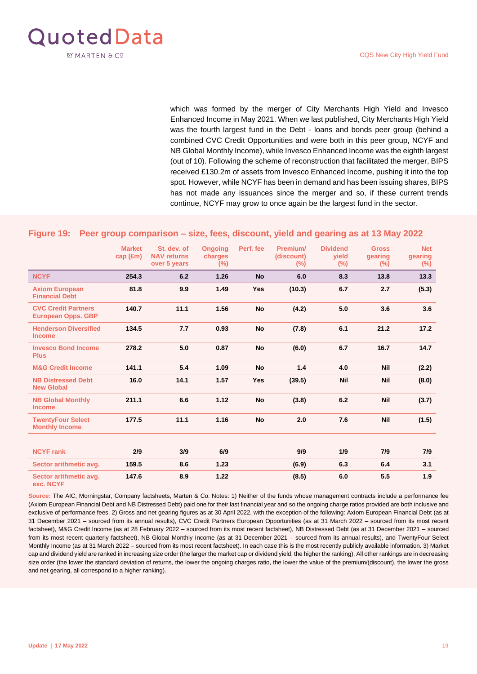

which was formed by the merger of City Merchants High Yield and Invesco Enhanced Income in May 2021. When we last published, City Merchants High Yield was the fourth largest fund in the Debt - loans and bonds peer group (behind a combined CVC Credit Opportunities and were both in this peer group, NCYF and NB Global Monthly Income), while Invesco Enhanced Income was the eighth largest (out of 10). Following the scheme of reconstruction that facilitated the merger, BIPS received £130.2m of assets from Invesco Enhanced Income, pushing it into the top spot. However, while NCYF has been in demand and has been issuing shares, BIPS has not made any issuances since the merger and so, if these current trends continue, NCYF may grow to once again be the largest fund in the sector.

#### **Figure 19: Peer group comparison – size, fees, discount, yield and gearing as at 13 May 2022**

|                                                         | <b>Market</b><br>cap (fm) | St. dev. of<br><b>NAV returns</b><br>over 5 years | <b>Ongoing</b><br>charges<br>$(\%)$ | Perf. fee  | Premium/<br>(discount)<br>$(\% )$ | <b>Dividend</b><br><b>vield</b><br>$(\%)$ | <b>Gross</b><br>gearing<br>$(\%)$ | <b>Net</b><br>gearing<br>$(\% )$ |
|---------------------------------------------------------|---------------------------|---------------------------------------------------|-------------------------------------|------------|-----------------------------------|-------------------------------------------|-----------------------------------|----------------------------------|
| <b>NCYF</b>                                             | 254.3                     | 6.2                                               | 1.26                                | <b>No</b>  | 6.0                               | 8.3                                       | 13.8                              | 13.3                             |
| <b>Axiom European</b><br><b>Financial Debt</b>          | 81.8                      | 9.9                                               | 1.49                                | <b>Yes</b> | (10.3)                            | 6.7                                       | 2.7                               | (5.3)                            |
| <b>CVC Credit Partners</b><br><b>European Opps. GBP</b> | 140.7                     | 11.1                                              | 1.56                                | <b>No</b>  | (4.2)                             | 5.0                                       | 3.6                               | 3.6                              |
| <b>Henderson Diversified</b><br><b>Income</b>           | 134.5                     | 7.7                                               | 0.93                                | <b>No</b>  | (7.8)                             | 6.1                                       | 21.2                              | 17.2                             |
| <b>Invesco Bond Income</b><br><b>Plus</b>               | 278.2                     | 5.0                                               | 0.87                                | <b>No</b>  | (6.0)                             | 6.7                                       | 16.7                              | 14.7                             |
| <b>M&amp;G Credit Income</b>                            | 141.1                     | 5.4                                               | 1.09                                | <b>No</b>  | 1.4                               | 4.0                                       | <b>Nil</b>                        | (2.2)                            |
| <b>NB Distressed Debt</b><br><b>New Global</b>          | 16.0                      | 14.1                                              | 1.57                                | <b>Yes</b> | (39.5)                            | <b>Nil</b>                                | <b>Nil</b>                        | (8.0)                            |
| <b>NB Global Monthly</b><br><b>Income</b>               | 211.1                     | 6.6                                               | 1.12                                | <b>No</b>  | (3.8)                             | 6.2                                       | <b>Nil</b>                        | (3.7)                            |
| <b>TwentyFour Select</b><br><b>Monthly Income</b>       | 177.5                     | 11.1                                              | 1.16                                | <b>No</b>  | 2.0                               | 7.6                                       | <b>Nil</b>                        | (1.5)                            |
| <b>NCYF</b> rank                                        | 2/9                       | 3/9                                               | 6/9                                 |            | 9/9                               | 1/9                                       | 7/9                               | 7/9                              |
| Sector arithmetic avg.                                  | 159.5                     | 8.6                                               | 1.23                                |            | (6.9)                             | 6.3                                       | 6.4                               | 3.1                              |
| Sector arithmetic avg.<br>exc. NCYF                     | 147.6                     | 8.9                                               | 1.22                                |            | (8.5)                             | 6.0                                       | 5.5                               | 1.9                              |

**Source:** The AIC, Morningstar, Company factsheets, Marten & Co. Notes: 1) Neither of the funds whose management contracts include a performance fee (Axiom European Financial Debt and NB Distressed Debt) paid one for their last financial year and so the ongoing charge ratios provided are both inclusive and exclusive of performance fees. 2) Gross and net gearing figures as at 30 April 2022, with the exception of the following: Axiom European Financial Debt (as at 31 December 2021 – sourced from its annual results), CVC Credit Partners European Opportunities (as at 31 March 2022 – sourced from its most recent factsheet), M&G Credit Income (as at 28 February 2022 – sourced from its most recent factsheet), NB Distressed Debt (as at 31 December 2021 – sourced from its most recent quarterly factsheet), NB Global Monthly Income (as at 31 December 2021 – sourced from its annual results), and TwentyFour Select Monthly Income (as at 31 March 2022 – sourced from its most recent factsheet). In each case this is the most recently publicly available information. 3) Market cap and dividend yield are ranked in increasing size order (the larger the market cap or dividend yield, the higher the ranking). All other rankings are in decreasing size order (the lower the standard deviation of returns, the lower the ongoing charges ratio, the lower the value of the premium/(discount), the lower the gross and net gearing, all correspond to a higher ranking).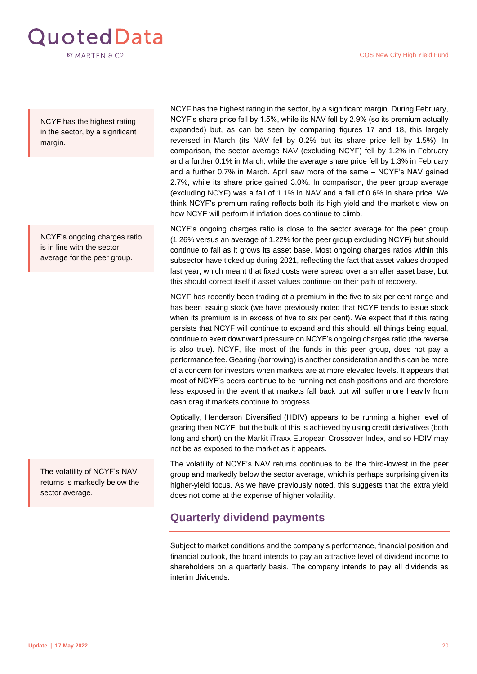

NCYF has the highest rating in the sector, by a significant margin.

NCYF's ongoing charges ratio is in line with the sector average for the peer group.

The volatility of NCYF's NAV returns is markedly below the sector average.

NCYF has the highest rating in the sector, by a significant margin. During February, NCYF's share price fell by 1.5%, while its NAV fell by 2.9% (so its premium actually expanded) but, as can be seen by comparing figures 17 and 18, this largely reversed in March (its NAV fell by 0.2% but its share price fell by 1.5%). In comparison, the sector average NAV (excluding NCYF) fell by 1.2% in February and a further 0.1% in March, while the average share price fell by 1.3% in February and a further 0.7% in March. April saw more of the same – NCYF's NAV gained 2.7%, while its share price gained 3.0%. In comparison, the peer group average (excluding NCYF) was a fall of 1.1% in NAV and a fall of 0.6% in share price. We think NCYF's premium rating reflects both its high yield and the market's view on how NCYF will perform if inflation does continue to climb.

NCYF's ongoing charges ratio is close to the sector average for the peer group (1.26% versus an average of 1.22% for the peer group excluding NCYF) but should continue to fall as it grows its asset base. Most ongoing charges ratios within this subsector have ticked up during 2021, reflecting the fact that asset values dropped last year, which meant that fixed costs were spread over a smaller asset base, but this should correct itself if asset values continue on their path of recovery.

NCYF has recently been trading at a premium in the five to six per cent range and has been issuing stock (we have previously noted that NCYF tends to issue stock when its premium is in excess of five to six per cent). We expect that if this rating persists that NCYF will continue to expand and this should, all things being equal, continue to exert downward pressure on NCYF's ongoing charges ratio (the reverse is also true). NCYF, like most of the funds in this peer group, does not pay a performance fee. Gearing (borrowing) is another consideration and this can be more of a concern for investors when markets are at more elevated levels. It appears that most of NCYF's peers continue to be running net cash positions and are therefore less exposed in the event that markets fall back but will suffer more heavily from cash drag if markets continue to progress.

Optically, Henderson Diversified (HDIV) appears to be running a higher level of gearing then NCYF, but the bulk of this is achieved by using credit derivatives (both long and short) on the Markit iTraxx European Crossover Index, and so HDIV may not be as exposed to the market as it appears.

The volatility of NCYF's NAV returns continues to be the third-lowest in the peer group and markedly below the sector average, which is perhaps surprising given its higher-yield focus. As we have previously noted, this suggests that the extra yield does not come at the expense of higher volatility.

## <span id="page-19-0"></span>**Quarterly dividend payments**

Subject to market conditions and the company's performance, financial position and financial outlook, the board intends to pay an attractive level of dividend income to shareholders on a quarterly basis. The company intends to pay all dividends as interim dividends.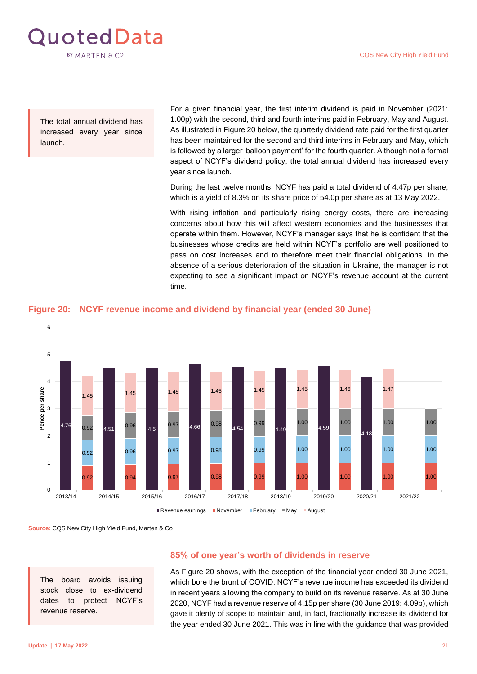

The total annual dividend has increased every year since launch.

For a given financial year, the first interim dividend is paid in November (2021: 1.00p) with the second, third and fourth interims paid in February, May and August. As illustrated in Figure 20 below, the quarterly dividend rate paid for the first quarter has been maintained for the second and third interims in February and May, which is followed by a larger 'balloon payment' for the fourth quarter. Although not a formal aspect of NCYF's dividend policy, the total annual dividend has increased every year since launch.

During the last twelve months, NCYF has paid a total dividend of 4.47p per share, which is a yield of 8.3% on its share price of 54.0p per share as at 13 May 2022.

With rising inflation and particularly rising energy costs, there are increasing concerns about how this will affect western economies and the businesses that operate within them. However, NCYF's manager says that he is confident that the businesses whose credits are held within NCYF's portfolio are well positioned to pass on cost increases and to therefore meet their financial obligations. In the absence of a serious deterioration of the situation in Ukraine, the manager is not expecting to see a significant impact on NCYF's revenue account at the current time.



#### **Figure 20: NCYF revenue income and dividend by financial year (ended 30 June)**

**Source:** CQS New City High Yield Fund, Marten & Co

The board avoids issuing stock close to ex-dividend dates to protect NCYF's revenue reserve.

#### **85% of one year's worth of dividends in reserve**

As Figure 20 shows, with the exception of the financial year ended 30 June 2021, which bore the brunt of COVID, NCYF's revenue income has exceeded its dividend in recent years allowing the company to build on its revenue reserve. As at 30 June 2020, NCYF had a revenue reserve of 4.15p per share (30 June 2019: 4.09p), which gave it plenty of scope to maintain and, in fact, fractionally increase its dividend for the year ended 30 June 2021. This was in line with the guidance that was provided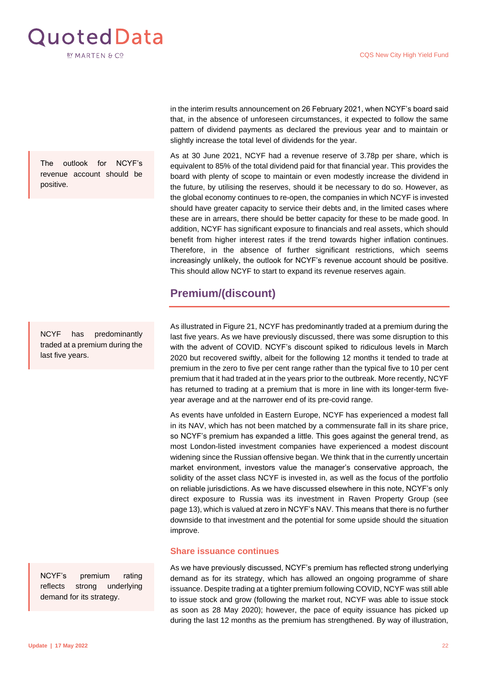

The outlook for NCYF's revenue account should be positive.

NCYF has predominantly traded at a premium during the last five years.

NCYF's premium rating reflects strong underlying demand for its strategy.

in the interim results announcement on 26 February 2021, when NCYF's board said that, in the absence of unforeseen circumstances, it expected to follow the same pattern of dividend payments as declared the previous year and to maintain or slightly increase the total level of dividends for the year.

As at 30 June 2021, NCYF had a revenue reserve of 3.78p per share, which is equivalent to 85% of the total dividend paid for that financial year. This provides the board with plenty of scope to maintain or even modestly increase the dividend in the future, by utilising the reserves, should it be necessary to do so. However, as the global economy continues to re-open, the companies in which NCYF is invested should have greater capacity to service their debts and, in the limited cases where these are in arrears, there should be better capacity for these to be made good. In addition, NCYF has significant exposure to financials and real assets, which should benefit from higher interest rates if the trend towards higher inflation continues. Therefore, in the absence of further significant restrictions, which seems increasingly unlikely, the outlook for NCYF's revenue account should be positive. This should allow NCYF to start to expand its revenue reserves again.

## <span id="page-21-0"></span>**Premium/(discount)**

As illustrated in Figure 21, NCYF has predominantly traded at a premium during the last five years. As we have previously discussed, there was some disruption to this with the advent of COVID. NCYF's discount spiked to ridiculous levels in March 2020 but recovered swiftly, albeit for the following 12 months it tended to trade at premium in the zero to five per cent range rather than the typical five to 10 per cent premium that it had traded at in the years prior to the outbreak. More recently, NCYF has returned to trading at a premium that is more in line with its longer-term fiveyear average and at the narrower end of its pre-covid range.

As events have unfolded in Eastern Europe, NCYF has experienced a modest fall in its NAV, which has not been matched by a commensurate fall in its share price, so NCYF's premium has expanded a little. This goes against the general trend, as most London-listed investment companies have experienced a modest discount widening since the Russian offensive began. We think that in the currently uncertain market environment, investors value the manager's conservative approach, the solidity of the asset class NCYF is invested in, as well as the focus of the portfolio on reliable jurisdictions. As we have discussed elsewhere in this note, NCYF's only direct exposure to Russia was its investment in Raven Property Group [\(see](#page-12-1)  [page 13](#page-12-1)), which is valued at zero in NCYF's NAV. This means that there is no further downside to that investment and the potential for some upside should the situation improve.

#### **Share issuance continues**

As we have previously discussed, NCYF's premium has reflected strong underlying demand as for its strategy, which has allowed an ongoing programme of share issuance. Despite trading at a tighter premium following COVID, NCYF was still able to issue stock and grow (following the market rout, NCYF was able to issue stock as soon as 28 May 2020); however, the pace of equity issuance has picked up during the last 12 months as the premium has strengthened. By way of illustration,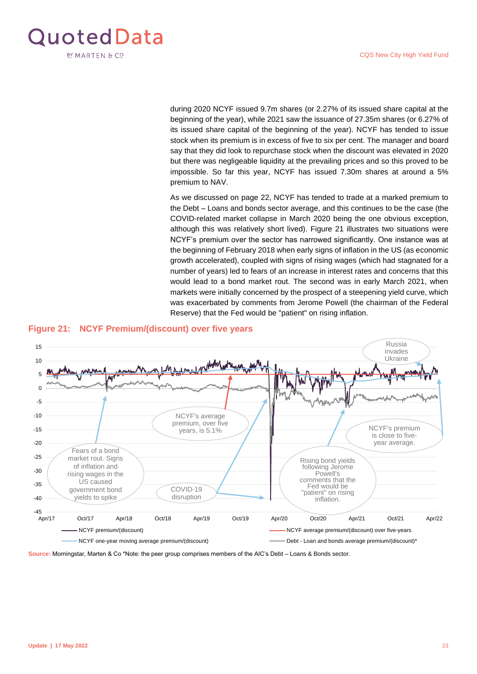<span id="page-22-0"></span>

during 2020 NCYF issued 9.7m shares (or 2.27% of its issued share capital at the beginning of the year), while 2021 saw the issuance of 27.35m shares (or 6.27% of its issued share capital of the beginning of the year). NCYF has tended to issue stock when its premium is in excess of five to six per cent. The manager and board say that they did look to repurchase stock when the discount was elevated in 2020 but there was negligeable liquidity at the prevailing prices and so this proved to be impossible. So far this year, NCYF has issued 7.30m shares at around a 5% premium to NAV.

As we discussed on page 22, NCYF has tended to trade at a marked premium to the Debt – Loans and bonds sector average, and this continues to be the case (the COVID-related market collapse in March 2020 being the one obvious exception, although this was relatively short lived). Figure 21 illustrates two situations were NCYF's premium over the sector has narrowed significantly. One instance was at the beginning of February 2018 when early signs of inflation in the US (as economic growth accelerated), coupled with signs of rising wages (which had stagnated for a number of years) led to fears of an increase in interest rates and concerns that this would lead to a bond market rout. The second was in early March 2021, when markets were initially concerned by the prospect of a steepening yield curve, which was exacerbated by comments from Jerome Powell (the chairman of the Federal Reserve) that the Fed would be "patient" on rising inflation.



#### **Figure 21: NCYF Premium/(discount) over five years**

**Source:** Morningstar, Marten & Co \*Note: the peer group comprises members of the AIC's Debt – Loans & Bonds sector.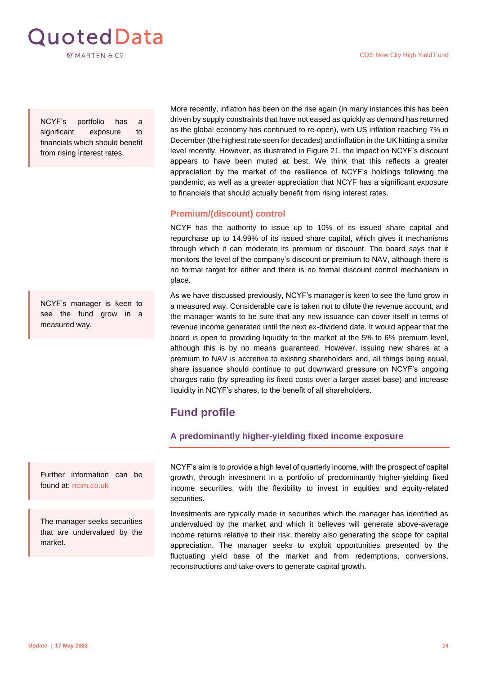

NCYF's portfolio has a significant exposure to financials which should benefit from rising interest rates.

NCYF's manager is keen to see the fund grow in a measured way.

Further information can be found at: [ncim.co.uk](https://ncim.co.uk/)

The manager seeks securities that are undervalued by the market.

More recently, inflation has been on the rise again (in many instances this has been driven by supply constraints that have not eased as quickly as demand has returned as the global economy has continued to re-open), with US inflation reaching 7% in December (the highest rate seen for decades) and inflation in the UK hitting a similar level recently. However, as illustrated in Figure 21, the impact on NCYF's discount appears to have been muted at best. We think that this reflects a greater appreciation by the market of the resilience of NCYF's holdings following the pandemic, as well as a greater appreciation that NCYF has a significant exposure to financials that should actually benefit from rising interest rates.

#### **Premium/(discount) control**

NCYF has the authority to issue up to 10% of its issued share capital and repurchase up to 14.99% of its issued share capital, which gives it mechanisms through which it can moderate its premium or discount. The board says that it monitors the level of the company's discount or premium to NAV, although there is no formal target for either and there is no formal discount control mechanism in place.

As we have discussed previously, NCYF's manager is keen to see the fund grow in a measured way. Considerable care is taken not to dilute the revenue account, and the manager wants to be sure that any new issuance can cover itself in terms of revenue income generated until the next ex-dividend date. It would appear that the board is open to providing liquidity to the market at the 5% to 6% premium level, although this is by no means guaranteed. However, issuing new shares at a premium to NAV is accretive to existing shareholders and, all things being equal, share issuance should continue to put downward pressure on NCYF's ongoing charges ratio (by spreading its fixed costs over a larger asset base) and increase liquidity in NCYF's shares, to the benefit of all shareholders.

## <span id="page-23-0"></span>**Fund profile**

<span id="page-23-1"></span>**A predominantly higher-yielding fixed income exposure** 

NCYF's aim is to provide a high level of quarterly income, with the prospect of capital growth, through investment in a portfolio of predominantly higher-yielding fixed income securities, with the flexibility to invest in equities and equity-related securities.

Investments are typically made in securities which the manager has identified as undervalued by the market and which it believes will generate above-average income returns relative to their risk, thereby also generating the scope for capital appreciation. The manager seeks to exploit opportunities presented by the fluctuating yield base of the market and from redemptions, conversions, reconstructions and take-overs to generate capital growth.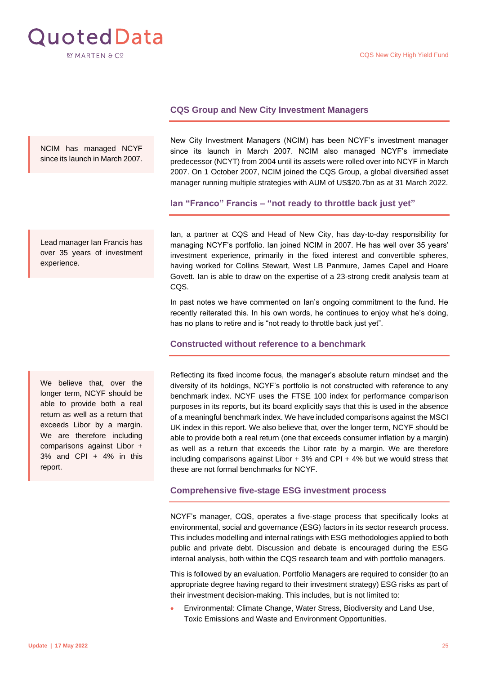

#### <span id="page-24-0"></span>**CQS Group and New City Investment Managers**

NCIM has managed NCYF since its launch in March 2007.

Lead manager Ian Francis has over 35 years of investment experience.

We believe that, over the longer term, NCYF should be able to provide both a real return as well as a return that exceeds Libor by a margin. We are therefore including comparisons against Libor + 3% and CPI + 4% in this report.

New City Investment Managers (NCIM) has been NCYF's investment manager since its launch in March 2007. NCIM also managed NCYF's immediate predecessor (NCYT) from 2004 until its assets were rolled over into NCYF in March 2007. On 1 October 2007, NCIM joined the CQS Group, a global diversified asset manager running multiple strategies with AUM of US\$20.7bn as at 31 March 2022.

<span id="page-24-1"></span>**Ian "Franco" Francis – "not ready to throttle back just yet"**

Ian, a partner at CQS and Head of New City, has day-to-day responsibility for managing NCYF's portfolio. Ian joined NCIM in 2007. He has well over 35 years' investment experience, primarily in the fixed interest and convertible spheres, having worked for Collins Stewart, West LB Panmure, James Capel and Hoare Govett. Ian is able to draw on the expertise of a 23-strong credit analysis team at CQS.

In past notes we have commented on Ian's ongoing commitment to the fund. He recently reiterated this. In his own words, he continues to enjoy what he's doing, has no plans to retire and is "not ready to throttle back just yet".

<span id="page-24-2"></span>**Constructed without reference to a benchmark**

Reflecting its fixed income focus, the manager's absolute return mindset and the diversity of its holdings, NCYF's portfolio is not constructed with reference to any benchmark index. NCYF uses the FTSE 100 index for performance comparison purposes in its reports, but its board explicitly says that this is used in the absence of a meaningful benchmark index. We have included comparisons against the MSCI UK index in this report. We also believe that, over the longer term, NCYF should be able to provide both a real return (one that exceeds consumer inflation by a margin) as well as a return that exceeds the Libor rate by a margin. We are therefore including comparisons against Libor + 3% and CPI + 4% but we would stress that these are not formal benchmarks for NCYF.

#### <span id="page-24-3"></span>**Comprehensive five-stage ESG investment process**

NCYF's manager, CQS, operates a five-stage process that specifically looks at environmental, social and governance (ESG) factors in its sector research process. This includes modelling and internal ratings with ESG methodologies applied to both public and private debt. Discussion and debate is encouraged during the ESG internal analysis, both within the CQS research team and with portfolio managers.

This is followed by an evaluation. Portfolio Managers are required to consider (to an appropriate degree having regard to their investment strategy) ESG risks as part of their investment decision-making. This includes, but is not limited to:

• Environmental: Climate Change, Water Stress, Biodiversity and Land Use, Toxic Emissions and Waste and Environment Opportunities.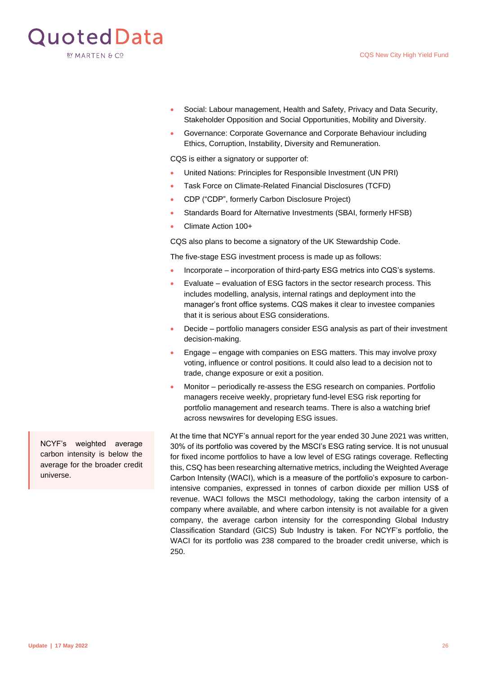

- Social: Labour management, Health and Safety, Privacy and Data Security, Stakeholder Opposition and Social Opportunities, Mobility and Diversity.
- Governance: Corporate Governance and Corporate Behaviour including Ethics, Corruption, Instability, Diversity and Remuneration.

CQS is either a signatory or supporter of:

- United Nations: Principles for Responsible Investment (UN PRI)
- Task Force on Climate-Related Financial Disclosures (TCFD)
- CDP ("CDP", formerly Carbon Disclosure Project)
- Standards Board for Alternative Investments (SBAI, formerly HFSB)
- Climate Action 100+

CQS also plans to become a signatory of the UK Stewardship Code.

The five-stage ESG investment process is made up as follows:

- Incorporate incorporation of third-party ESG metrics into CQS's systems.
- Evaluate evaluation of ESG factors in the sector research process. This includes modelling, analysis, internal ratings and deployment into the manager's front office systems. CQS makes it clear to investee companies that it is serious about ESG considerations.
- Decide portfolio managers consider ESG analysis as part of their investment decision-making.
- Engage engage with companies on ESG matters. This may involve proxy voting, influence or control positions. It could also lead to a decision not to trade, change exposure or exit a position.
- Monitor periodically re-assess the ESG research on companies. Portfolio managers receive weekly, proprietary fund-level ESG risk reporting for portfolio management and research teams. There is also a watching brief across newswires for developing ESG issues.

At the time that NCYF's annual report for the year ended 30 June 2021 was written, 30% of its portfolio was covered by the MSCI's ESG rating service. It is not unusual for fixed income portfolios to have a low level of ESG ratings coverage. Reflecting this, CSQ has been researching alternative metrics, including the Weighted Average Carbon Intensity (WACI), which is a measure of the portfolio's exposure to carbonintensive companies, expressed in tonnes of carbon dioxide per million US\$ of revenue. WACI follows the MSCI methodology, taking the carbon intensity of a company where available, and where carbon intensity is not available for a given company, the average carbon intensity for the corresponding Global Industry Classification Standard (GICS) Sub Industry is taken. For NCYF's portfolio, the WACI for its portfolio was 238 compared to the broader credit universe, which is 250.

NCYF's weighted average carbon intensity is below the average for the broader credit universe.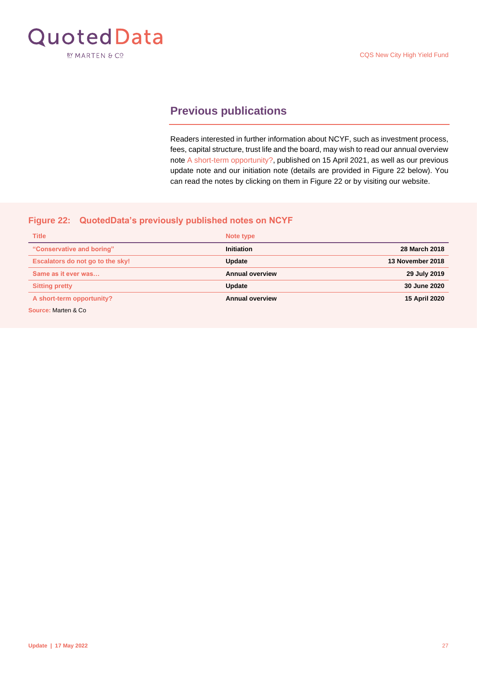<span id="page-26-1"></span>

## <span id="page-26-0"></span>**Previous publications**

Readers interested in further information about NCYF, such as investment process, fees, capital structure, trust life and the board, may wish to read our annual overview note [A short-term opportunity?,](https://quoteddata.com/research/cqs-city-high-yield-fund-shortterm-opportunity-qd/) published on 15 April 2021, as well as our previous update note and our initiation note (details are provided in Figure 22 below). You can read the notes by clicking on them in Figure 22 or by visiting our website.

#### **Figure 22: QuotedData's previously published notes on NCYF**

| <b>Title</b>                     | Note type              |                  |
|----------------------------------|------------------------|------------------|
| "Conservative and boring"        | <b>Initiation</b>      | 28 March 2018    |
| Escalators do not go to the sky! | Update                 | 13 November 2018 |
| Same as it ever was              | <b>Annual overview</b> | 29 July 2019     |
| <b>Sitting pretty</b>            | Update                 | 30 June 2020     |
| A short-term opportunity?        | <b>Annual overview</b> | 15 April 2020    |
| Source: Marten & Co.             |                        |                  |